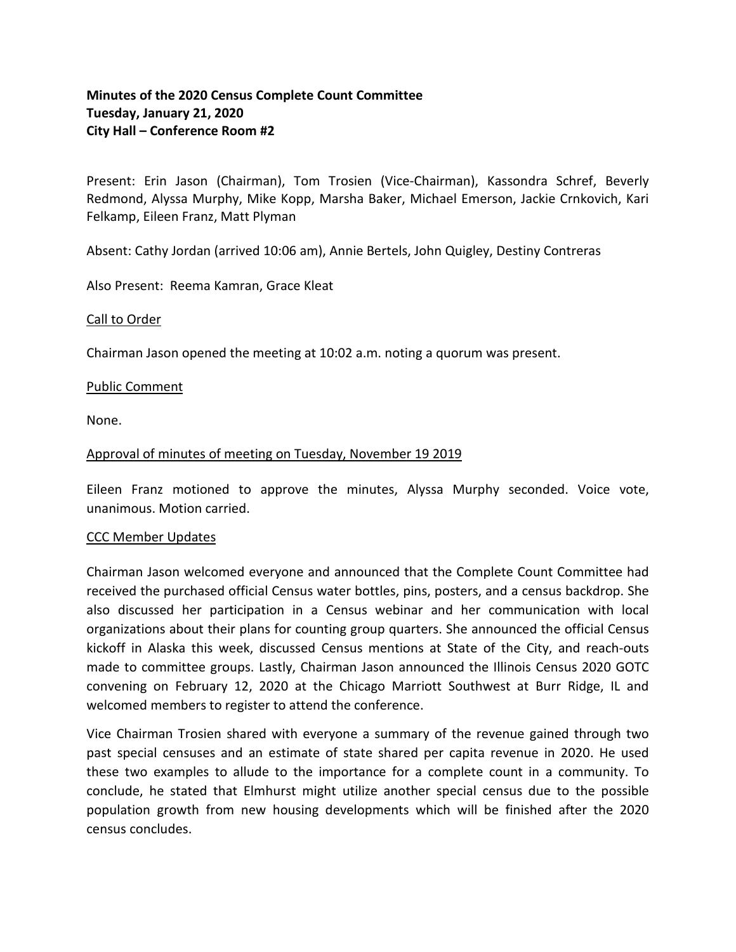# **Minutes of the 2020 Census Complete Count Committee Tuesday, January 21, 2020 City Hall – Conference Room #2**

Present: Erin Jason (Chairman), Tom Trosien (Vice-Chairman), Kassondra Schref, Beverly Redmond, Alyssa Murphy, Mike Kopp, Marsha Baker, Michael Emerson, Jackie Crnkovich, Kari Felkamp, Eileen Franz, Matt Plyman

Absent: Cathy Jordan (arrived 10:06 am), Annie Bertels, John Quigley, Destiny Contreras

Also Present: Reema Kamran, Grace Kleat

## Call to Order

Chairman Jason opened the meeting at 10:02 a.m. noting a quorum was present.

## Public Comment

None.

## Approval of minutes of meeting on Tuesday, November 19 2019

Eileen Franz motioned to approve the minutes, Alyssa Murphy seconded. Voice vote, unanimous. Motion carried.

#### CCC Member Updates

Chairman Jason welcomed everyone and announced that the Complete Count Committee had received the purchased official Census water bottles, pins, posters, and a census backdrop. She also discussed her participation in a Census webinar and her communication with local organizations about their plans for counting group quarters. She announced the official Census kickoff in Alaska this week, discussed Census mentions at State of the City, and reach-outs made to committee groups. Lastly, Chairman Jason announced the Illinois Census 2020 GOTC convening on February 12, 2020 at the Chicago Marriott Southwest at Burr Ridge, IL and welcomed members to register to attend the conference.

Vice Chairman Trosien shared with everyone a summary of the revenue gained through two past special censuses and an estimate of state shared per capita revenue in 2020. He used these two examples to allude to the importance for a complete count in a community. To conclude, he stated that Elmhurst might utilize another special census due to the possible population growth from new housing developments which will be finished after the 2020 census concludes.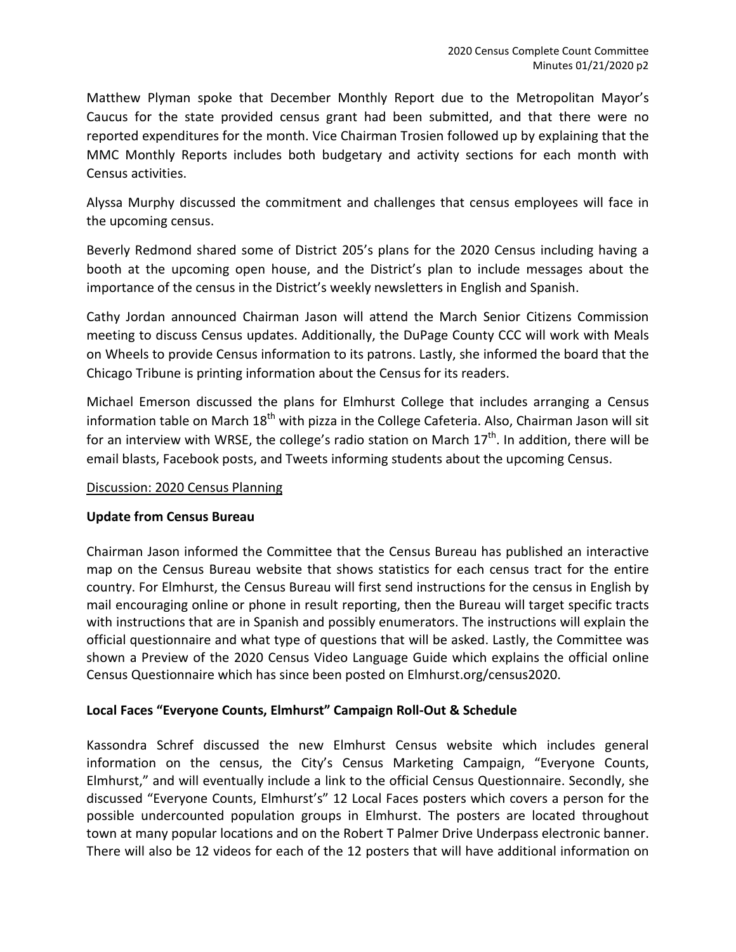Matthew Plyman spoke that December Monthly Report due to the Metropolitan Mayor's Caucus for the state provided census grant had been submitted, and that there were no reported expenditures for the month. Vice Chairman Trosien followed up by explaining that the MMC Monthly Reports includes both budgetary and activity sections for each month with Census activities.

Alyssa Murphy discussed the commitment and challenges that census employees will face in the upcoming census.

Beverly Redmond shared some of District 205's plans for the 2020 Census including having a booth at the upcoming open house, and the District's plan to include messages about the importance of the census in the District's weekly newsletters in English and Spanish.

Cathy Jordan announced Chairman Jason will attend the March Senior Citizens Commission meeting to discuss Census updates. Additionally, the DuPage County CCC will work with Meals on Wheels to provide Census information to its patrons. Lastly, she informed the board that the Chicago Tribune is printing information about the Census for its readers.

Michael Emerson discussed the plans for Elmhurst College that includes arranging a Census information table on March  $18<sup>th</sup>$  with pizza in the College Cafeteria. Also, Chairman Jason will sit for an interview with WRSE, the college's radio station on March  $17<sup>th</sup>$ . In addition, there will be email blasts, Facebook posts, and Tweets informing students about the upcoming Census.

# Discussion: 2020 Census Planning

# **Update from Census Bureau**

Chairman Jason informed the Committee that the Census Bureau has published an interactive map on the Census Bureau website that shows statistics for each census tract for the entire country. For Elmhurst, the Census Bureau will first send instructions for the census in English by mail encouraging online or phone in result reporting, then the Bureau will target specific tracts with instructions that are in Spanish and possibly enumerators. The instructions will explain the official questionnaire and what type of questions that will be asked. Lastly, the Committee was shown a Preview of the 2020 Census Video Language Guide which explains the official online Census Questionnaire which has since been posted on Elmhurst.org/census2020.

# **Local Faces "Everyone Counts, Elmhurst" Campaign Roll-Out & Schedule**

Kassondra Schref discussed the new Elmhurst Census website which includes general information on the census, the City's Census Marketing Campaign, "Everyone Counts, Elmhurst," and will eventually include a link to the official Census Questionnaire. Secondly, she discussed "Everyone Counts, Elmhurst's" 12 Local Faces posters which covers a person for the possible undercounted population groups in Elmhurst. The posters are located throughout town at many popular locations and on the Robert T Palmer Drive Underpass electronic banner. There will also be 12 videos for each of the 12 posters that will have additional information on